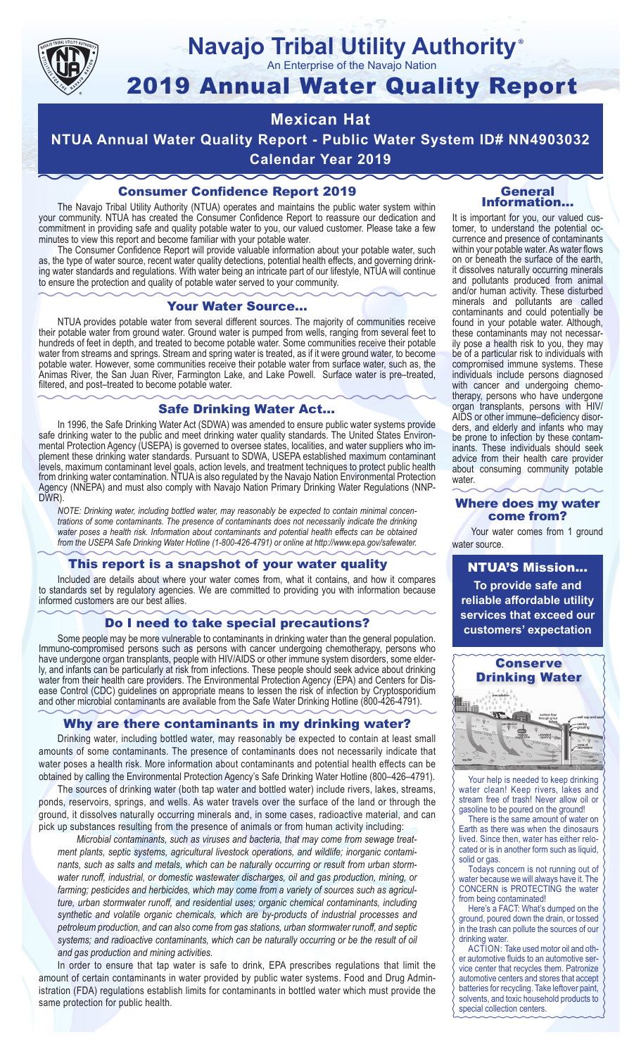

## **Navajo Tribal Utility Authority** ®

An Enterprise of the Navajo Nation

# 2019 Annual Water Quality Report

## **Mexican Hat**

**NTUA Annual Water Quality Report - Public Water System ID# NN4903032 Calendar Year 2019**

## Consumer Confidence Report 2019

The Navajo Tribal Utility Authority (NTUA) operates and maintains the public water system within your community. NTUA has created the Consumer Confidence Report to reassure our dedication and commitment in providing safe and quality potable water to you, our valued customer. Please take a few minutes to view this report and become familiar with your potable water.

The Consumer Confidence Report will provide valuable information about your potable water, such as, the type of water source, recent water quality detections, potential health effects, and governing drinking water standards and regulations. With water being an intricate part of our lifestyle, NTUA will continue to ensure the protection and quality of potable water served to your community.

#### Your Water Source…

NTUA provides potable water from several different sources. The majority of communities receive their potable water from ground water. Ground water is pumped from wells, ranging from several feet to hundreds of feet in depth, and treated to become potable water. Some communities receive their potable water from streams and springs. Stream and spring water is treated, as if it were ground water, to become potable water. However, some communities receive their potable water from surface water, such as, the Animas River, the San Juan River, Farmington Lake, and Lake Powell. Surface water is pre–treated, filtered, and post–treated to become potable water.

#### Safe Drinking Water Act…

In 1996, the Safe Drinking Water Act (SDWA) was amended to ensure public water systems provide safe drinking water to the public and meet drinking water quality standards. The United States Environmental Protection Agency (USEPA) is governed to oversee states, localities, and water suppliers who implement these drinking water standards. Pursuant to SDWA, USEPA established maximum contaminant levels, maximum contaminant level goals, action levels, and treatment techniques to protect public health from drinking water contamination. NTUA is also regulated by the Navajo Nation Environmental Protection Agency (NNEPA) and must also comply with Navajo Nation Primary Drinking Water Regulations (NNP-DWR)

*NOTE: Drinking water, including bottled water, may reasonably be expected to contain minimal concentrations of some contaminants. The presence of contaminants does not necessarily indicate the drinking water poses a health risk. Information about contaminants and potential health effects can be obtained from the USEPA Safe Drinking Water Hotline (1-800-426-4791) or online at http://www.epa.gov/safewater.*

#### This report is a snapshot of your water quality

Included are details about where your water comes from, what it contains, and how it compares to standards set by regulatory agencies. We are committed to providing you with information because informed customers are our best allies.

#### Do I need to take special precautions?

Some people may be more vulnerable to contaminants in drinking water than the general population. Immuno-compromised persons such as persons with cancer undergoing chemotherapy, persons who have undergone organ transplants, people with HIV/AIDS or other immune system disorders, some elderly, and infants can be particularly at risk from infections. These people should seek advice about drinking water from their health care providers. The Environmental Protection Agency (EPA) and Centers for Disease Control (CDC) guidelines on appropriate means to lessen the risk of infection by Cryptosporidium and other microbial contaminants are available from the Safe Water Drinking Hotline (800-426-4791).

#### Why are there contaminants in my drinking water?

Drinking water, including bottled water, may reasonably be expected to contain at least small amounts of some contaminants. The presence of contaminants does not necessarily indicate that water poses a health risk. More information about contaminants and potential health effects can be obtained by calling the Environmental Protection Agency's Safe Drinking Water Hotline (800–426–4791).

The sources of drinking water (both tap water and bottled water) include rivers, lakes, streams, ponds, reservoirs, springs, and wells. As water travels over the surface of the land or through the ground, it dissolves naturally occurring minerals and, in some cases, radioactive material, and can pick up substances resulting from the presence of animals or from human activity including:

*Microbial contaminants, such as viruses and bacteria, that may come from sewage treatment plants, septic systems, agricultural livestock operations, and wildlife; inorganic contaminants, such as salts and metals, which can be naturally occurring or result from urban stormwater runoff, industrial, or domestic wastewater discharges, oil and gas production, mining, or farming; pesticides and herbicides, which may come from a variety of sources such as agriculture, urban stormwater runoff, and residential uses; organic chemical contaminants, including synthetic and volatile organic chemicals, which are by-products of industrial processes and petroleum production, and can also come from gas stations, urban stormwater runoff, and septic systems; and radioactive contaminants, which can be naturally occurring or be the result of oil and gas production and mining activities.*

In order to ensure that tap water is safe to drink, EPA prescribes regulations that limit the amount of certain contaminants in water provided by public water systems. Food and Drug Administration (FDA) regulations establish limits for contaminants in bottled water which must provide the same protection for public health.

#### General Information…

It is important for you, our valued customer, to understand the potential occurrence and presence of contaminants within your potable water. As water flows on or beneath the surface of the earth, it dissolves naturally occurring minerals and pollutants produced from animal and/or human activity. These disturbed minerals and pollutants are called contaminants and could potentially be found in your potable water. Although, these contaminants may not necessarily pose a health risk to you, they may be of a particular risk to individuals with compromised immune systems. These individuals include persons diagnosed with cancer and undergoing chemo-<br>therapy, persons who have undergone organ transplants, persons with HIV/ AIDS or other immune–deficiency disor- ders, and elderly and infants who may be prone to infection by these contam- inants. These individuals should seek advice from their health care provider about consuming community potable water.

#### Where does my water come from?

Your water comes from 1 ground water source.

NTUA'S Mission... **To provide safe and reliable affordable utility services that exceed our customers' expectation**



Your help is needed to keep drinking water clean! Keep rivers, lakes and stream free of trash! Never allow oil or gasoline to be poured on the ground!

There is the same amount of water on Earth as there was when the dinosaurs lived. Since then, water has either relocated or is in another form such as liquid, solid or gas.

Todays concern is not running out of water because we will always have it. The CONCERN is PROTECTING the water from being contaminated!

Here's a FACT: What's dumped on the ground, poured down the drain, or tossed in the trash can pollute the sources of our drinking water.

ACTION: Take used motor oil and other automotive fluids to an automotive service center that recycles them. Patronize automotive centers and stores that accept batteries for recycling. Take leftover paint, solvents, and toxic household products to special collection centers.